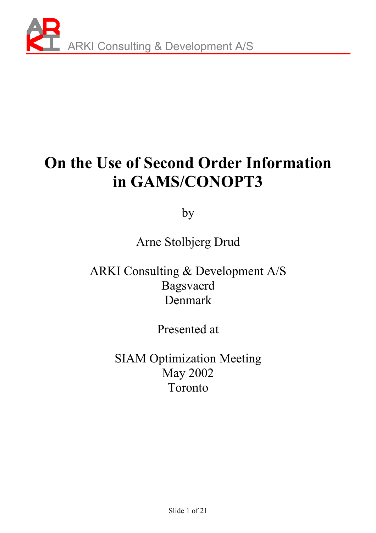

# **On the Use of Second Order Information in GAMS/CONOPT3**

by

Arne Stolbjerg Drud

ARKI Consulting & Development A/S Bagsvaerd Denmark

Presented at

SIAM Optimization Meeting May 2002 Toronto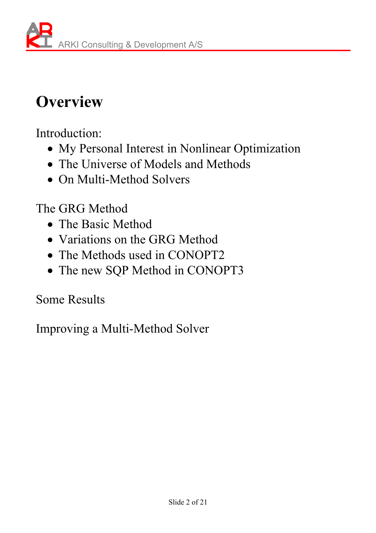# **Overview**

Introduction:

- My Personal Interest in Nonlinear Optimization
- The Universe of Models and Methods
- On Multi-Method Solvers

The GRG Method

- The Basic Method
- Variations on the GRG Method
- The Methods used in CONOPT2
- The new SQP Method in CONOPT3

Some Results

Improving a Multi-Method Solver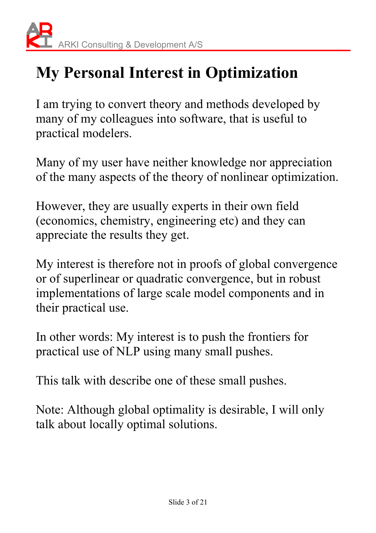# **My Personal Interest in Optimization**

I am trying to convert theory and methods developed by many of my colleagues into software, that is useful to practical modelers.

Many of my user have neither knowledge nor appreciation of the many aspects of the theory of nonlinear optimization.

However, they are usually experts in their own field (economics, chemistry, engineering etc) and they can appreciate the results they get.

My interest is therefore not in proofs of global convergence or of superlinear or quadratic convergence, but in robust implementations of large scale model components and in their practical use.

In other words: My interest is to push the frontiers for practical use of NLP using many small pushes.

This talk with describe one of these small pushes.

Note: Although global optimality is desirable, I will only talk about locally optimal solutions.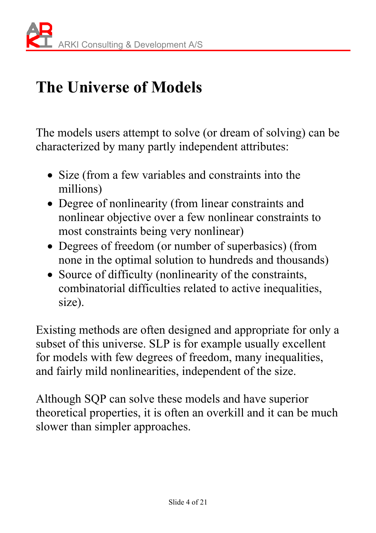# **The Universe of Models**

The models users attempt to solve (or dream of solving) can be characterized by many partly independent attributes:

- Size (from a few variables and constraints into the millions)
- Degree of nonlinearity (from linear constraints and nonlinear objective over a few nonlinear constraints to most constraints being very nonlinear)
- Degrees of freedom (or number of superbasics) (from none in the optimal solution to hundreds and thousands)
- Source of difficulty (nonlinearity of the constraints, combinatorial difficulties related to active inequalities, size).

Existing methods are often designed and appropriate for only a subset of this universe. SLP is for example usually excellent for models with few degrees of freedom, many inequalities, and fairly mild nonlinearities, independent of the size.

Although SQP can solve these models and have superior theoretical properties, it is often an overkill and it can be much slower than simpler approaches.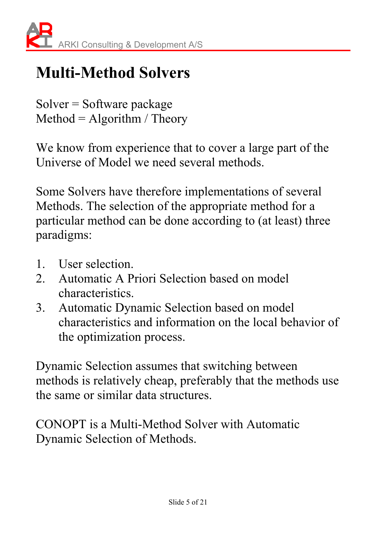# **Multi-Method Solvers**

Solver = Software package  $Method = Algorithm / Theory$ 

We know from experience that to cover a large part of the Universe of Model we need several methods.

Some Solvers have therefore implementations of several Methods. The selection of the appropriate method for a particular method can be done according to (at least) three paradigms:

- 1. User selection.
- 2. Automatic A Priori Selection based on model characteristics.
- 3. Automatic Dynamic Selection based on model characteristics and information on the local behavior of the optimization process.

Dynamic Selection assumes that switching between methods is relatively cheap, preferably that the methods use the same or similar data structures.

CONOPT is a Multi-Method Solver with Automatic Dynamic Selection of Methods.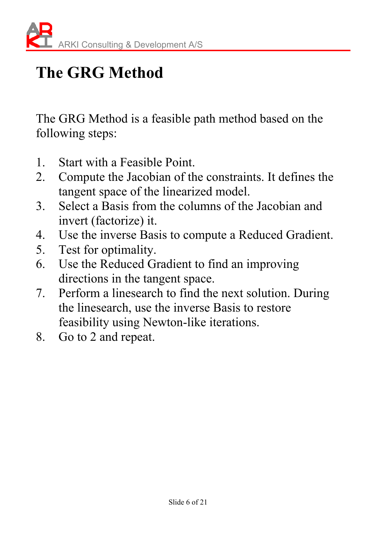# **The GRG Method**

The GRG Method is a feasible path method based on the following steps:

- 1. Start with a Feasible Point.
- 2. Compute the Jacobian of the constraints. It defines the tangent space of the linearized model.
- 3. Select a Basis from the columns of the Jacobian and invert (factorize) it.
- 4. Use the inverse Basis to compute a Reduced Gradient.
- 5. Test for optimality.
- 6. Use the Reduced Gradient to find an improving directions in the tangent space.
- 7. Perform a linesearch to find the next solution. During the linesearch, use the inverse Basis to restore feasibility using Newton-like iterations.
- 8. Go to 2 and repeat.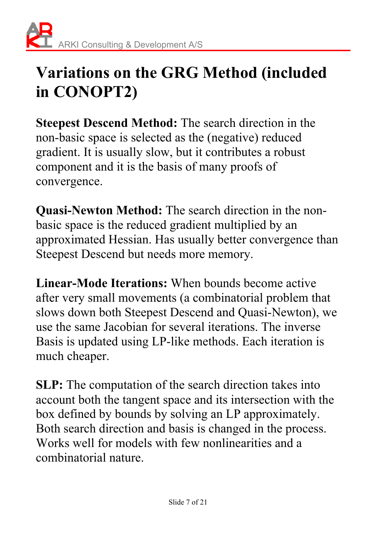## **Variations on the GRG Method (included in CONOPT2)**

**Steepest Descend Method:** The search direction in the non-basic space is selected as the (negative) reduced gradient. It is usually slow, but it contributes a robust component and it is the basis of many proofs of convergence.

**Quasi-Newton Method:** The search direction in the nonbasic space is the reduced gradient multiplied by an approximated Hessian. Has usually better convergence than Steepest Descend but needs more memory.

**Linear-Mode Iterations:** When bounds become active after very small movements (a combinatorial problem that slows down both Steepest Descend and Quasi-Newton), we use the same Jacobian for several iterations. The inverse Basis is updated using LP-like methods. Each iteration is much cheaper.

**SLP:** The computation of the search direction takes into account both the tangent space and its intersection with the box defined by bounds by solving an LP approximately. Both search direction and basis is changed in the process. Works well for models with few nonlinearities and a combinatorial nature.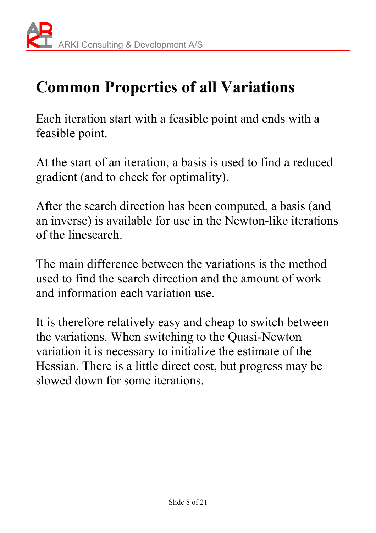# **Common Properties of all Variations**

Each iteration start with a feasible point and ends with a feasible point.

At the start of an iteration, a basis is used to find a reduced gradient (and to check for optimality).

After the search direction has been computed, a basis (and an inverse) is available for use in the Newton-like iterations of the linesearch.

The main difference between the variations is the method used to find the search direction and the amount of work and information each variation use.

It is therefore relatively easy and cheap to switch between the variations. When switching to the Quasi-Newton variation it is necessary to initialize the estimate of the Hessian. There is a little direct cost, but progress may be slowed down for some iterations.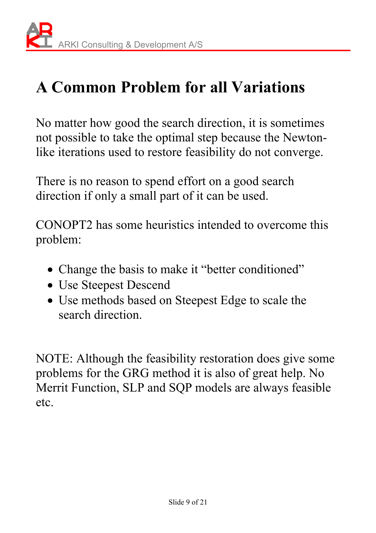# **A Common Problem for all Variations**

No matter how good the search direction, it is sometimes not possible to take the optimal step because the Newtonlike iterations used to restore feasibility do not converge.

There is no reason to spend effort on a good search direction if only a small part of it can be used.

CONOPT2 has some heuristics intended to overcome this problem:

- Change the basis to make it "better conditioned"
- Use Steepest Descend
- Use methods based on Steepest Edge to scale the search direction.

NOTE: Although the feasibility restoration does give some problems for the GRG method it is also of great help. No Merrit Function, SLP and SQP models are always feasible etc.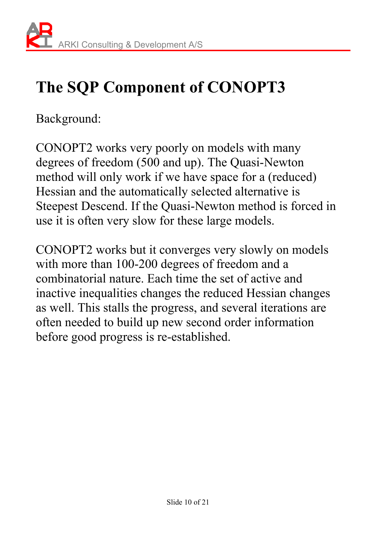# **The SQP Component of CONOPT3**

Background:

CONOPT2 works very poorly on models with many degrees of freedom (500 and up). The Quasi-Newton method will only work if we have space for a (reduced) Hessian and the automatically selected alternative is Steepest Descend. If the Quasi-Newton method is forced in use it is often very slow for these large models.

CONOPT2 works but it converges very slowly on models with more than 100-200 degrees of freedom and a combinatorial nature. Each time the set of active and inactive inequalities changes the reduced Hessian changes as well. This stalls the progress, and several iterations are often needed to build up new second order information before good progress is re-established.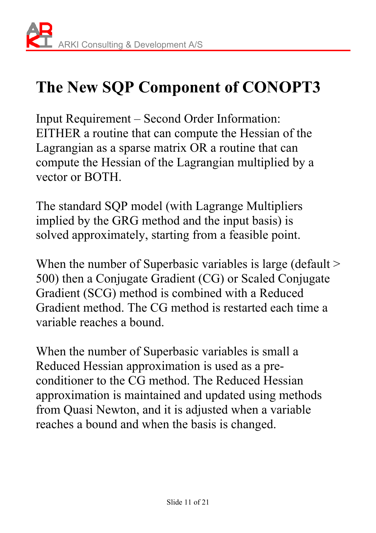# **The New SQP Component of CONOPT3**

Input Requirement – Second Order Information: EITHER a routine that can compute the Hessian of the Lagrangian as a sparse matrix OR a routine that can compute the Hessian of the Lagrangian multiplied by a vector or BOTH.

The standard SQP model (with Lagrange Multipliers implied by the GRG method and the input basis) is solved approximately, starting from a feasible point.

When the number of Superbasic variables is large (default  $>$ 500) then a Conjugate Gradient (CG) or Scaled Conjugate Gradient (SCG) method is combined with a Reduced Gradient method. The CG method is restarted each time a variable reaches a bound.

When the number of Superbasic variables is small a Reduced Hessian approximation is used as a preconditioner to the CG method. The Reduced Hessian approximation is maintained and updated using methods from Quasi Newton, and it is adjusted when a variable reaches a bound and when the basis is changed.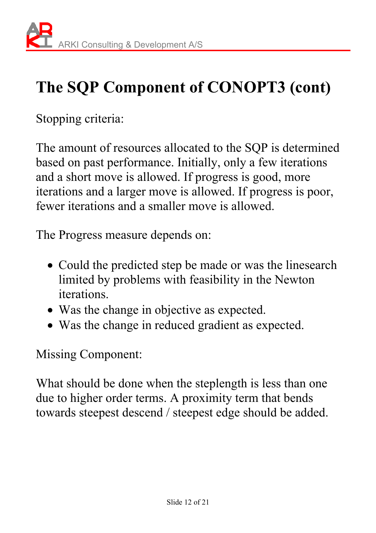# **The SQP Component of CONOPT3 (cont)**

Stopping criteria:

The amount of resources allocated to the SQP is determined based on past performance. Initially, only a few iterations and a short move is allowed. If progress is good, more iterations and a larger move is allowed. If progress is poor, fewer iterations and a smaller move is allowed.

The Progress measure depends on:

- Could the predicted step be made or was the linesearch limited by problems with feasibility in the Newton iterations.
- Was the change in objective as expected.
- Was the change in reduced gradient as expected.

Missing Component:

What should be done when the steplength is less than one due to higher order terms. A proximity term that bends towards steepest descend / steepest edge should be added.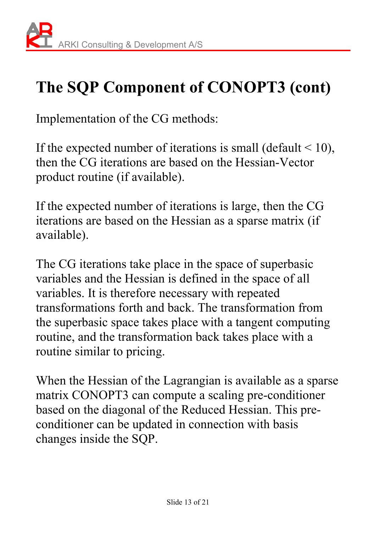# **The SQP Component of CONOPT3 (cont)**

Implementation of the CG methods:

If the expected number of iterations is small (default  $\leq 10$ ), then the CG iterations are based on the Hessian-Vector product routine (if available).

If the expected number of iterations is large, then the CG iterations are based on the Hessian as a sparse matrix (if available).

The CG iterations take place in the space of superbasic variables and the Hessian is defined in the space of all variables. It is therefore necessary with repeated transformations forth and back. The transformation from the superbasic space takes place with a tangent computing routine, and the transformation back takes place with a routine similar to pricing.

When the Hessian of the Lagrangian is available as a sparse matrix CONOPT3 can compute a scaling pre-conditioner based on the diagonal of the Reduced Hessian. This preconditioner can be updated in connection with basis changes inside the SQP.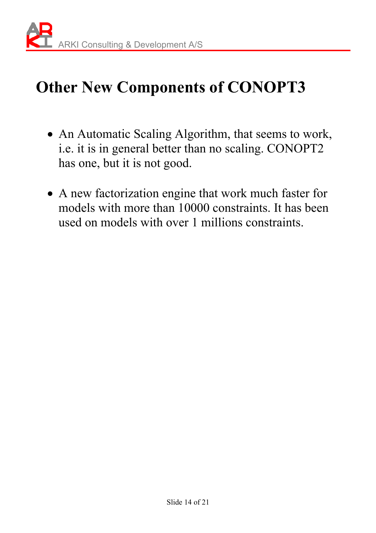

# **Other New Components of CONOPT3**

- An Automatic Scaling Algorithm, that seems to work, i.e. it is in general better than no scaling. CONOPT2 has one, but it is not good.
- A new factorization engine that work much faster for models with more than 10000 constraints. It has been used on models with over 1 millions constraints.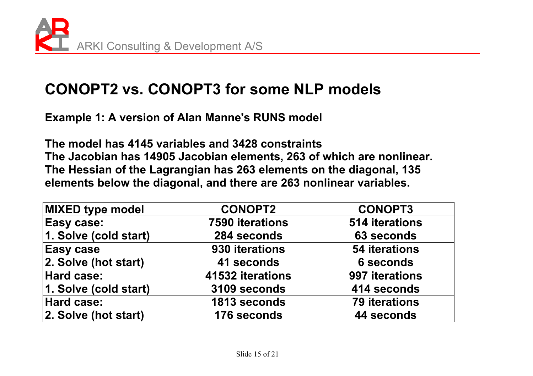

### **CONOPT2 vs. CONOPT3 for some NLP models**

**Example 1: A version of Alan Manne's RUNS model** 

**The model has 4145 variables and 3428 constraints The Jacobian has 14905 Jacobian elements, 263 of which are nonlinear. The Hessian of the Lagrangian has 263 elements on the diagonal, 135 elements below the diagonal, and there are 263 nonlinear variables.** 

| MIXED type model      | <b>CONOPT2</b>         | <b>CONOPT3</b>       |  |  |
|-----------------------|------------------------|----------------------|--|--|
| Easy case:            | <b>7590 iterations</b> | 514 iterations       |  |  |
| 1. Solve (cold start) | 284 seconds            | 63 seconds           |  |  |
| <b>Easy case</b>      | 930 iterations         | <b>54 iterations</b> |  |  |
| 2. Solve (hot start)  | 41 seconds             | <b>6 seconds</b>     |  |  |
| Hard case:            | 41532 iterations       | 997 iterations       |  |  |
| 1. Solve (cold start) | 3109 seconds           | 414 seconds          |  |  |
| Hard case:            | 1813 seconds           | <b>79 iterations</b> |  |  |
| 2. Solve (hot start)  | 176 seconds            | 44 seconds           |  |  |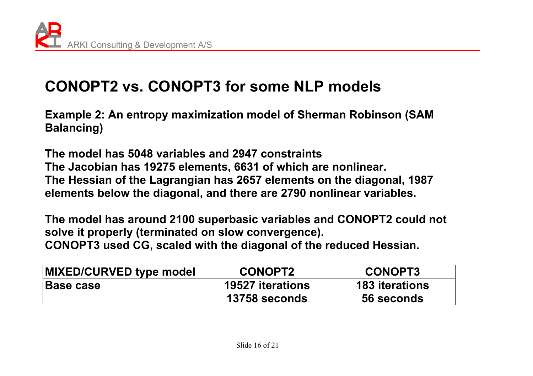### **CONOPT2 vs. CONOPT3 for some NLP models**

**Example 2: An entropy maximization model of Sherman Robinson (SAM Balancing)** 

**The model has 5048 variables and 2947 constraints The Jacobian has 19275 elements, 6631 of which are nonlinear. The Hessian of the Lagrangian has 2657 elements on the diagonal, 1987 elements below the diagonal, and there are 2790 nonlinear variables.** 

**The model has around 2100 superbasic variables and CONOPT2 could not solve it properly (terminated on slow convergence). CONOPT3 used CG, scaled with the diagonal of the reduced Hessian.** 

| MIXED/CURVED type model | <b>CONOPT2</b>          | <b>CONOPT3</b>        |
|-------------------------|-------------------------|-----------------------|
| <b>Base case</b>        | <b>19527 iterations</b> | <b>183</b> iterations |
|                         | 13758 seconds           | 56 seconds            |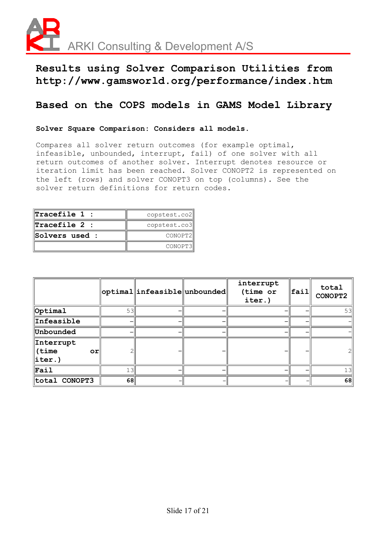

#### **Results using Solver Comparison Utilities from http://www.gamsworld.org/performance/index.htm**

#### **Based on the COPS models in GAMS Model Library**

#### **Solver Square Comparison: Considers all models.**

Compares all solver return outcomes (for example optimal, infeasible, unbounded, interrupt, fail) of one solver with all return outcomes of another solver. Interrupt denotes resource or iteration limit has been reached. Solver CONOPT2 is represented on the left (rows) and solver CONOPT3 on top (columns). See the solver return definitions for return codes.

| $\bm{\mathbb{r}}$ racefile 1 : | copstest.co2 |  |  |
|--------------------------------|--------------|--|--|
| $\bm{\mathbb{Tr}acefile}$ 2 :  | copstest.co3 |  |  |
| Solvers used :                 | CONOPT2      |  |  |
|                                | CONOPT3      |  |  |

|                                         |                  | $ $ optimal $ $ infeasible $ $ unbounded $ $ | interrupt<br>(time or<br>iter.) | $ $ fail | total<br>CONOPT2 |
|-----------------------------------------|------------------|----------------------------------------------|---------------------------------|----------|------------------|
| $\phi$ ptimal                           | 53               |                                              |                                 |          | 53               |
| <b>Infeasible</b>                       |                  |                                              |                                 |          |                  |
| Unbounded                               |                  |                                              |                                 |          |                  |
| Interrupt<br>(time<br>or<br>$\ $ iter.) |                  |                                              |                                 |          |                  |
| $\Vert$ Fail                            | 1.3 <sup>1</sup> |                                              |                                 |          | 1.3              |
| total CONOPT3                           | 68               |                                              |                                 |          | 68               |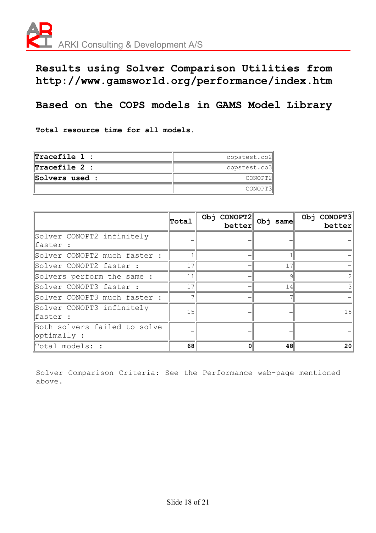

**Results using Solver Comparison Utilities from http://www.gamsworld.org/performance/index.htm** 

#### **Based on the COPS models in GAMS Model Library**

**Total resource time for all models.** 

| $\  {\tt Tracefile} \: 1 \; :$ | copstest.co2 |
|--------------------------------|--------------|
| $\  \texttt{Tracefile 2 :}$    | copstest.co3 |
| <b>Solvers used :</b>          | CONOPT2      |
|                                | CONOPT3      |

|                                                  | Total           | CONOPT2<br>Obj<br>better | $Obj$ same | Obj CONOPT3<br>better |
|--------------------------------------------------|-----------------|--------------------------|------------|-----------------------|
| Solver CONOPT2 infinitely<br>faster :            |                 |                          |            |                       |
| Solver CONOPT2 much faster :                     |                 |                          |            |                       |
| Solver CONOPT2 faster :                          | 17              |                          | 17         |                       |
| Solvers perform the same :                       | 11              |                          | Q          |                       |
| Solver CONOPT3 faster :                          | 17              |                          | 14         |                       |
| Solver CONOPT3 much faster :                     |                 |                          |            |                       |
| Solver CONOPT3 infinitely<br>faster :            | 15 <sup>l</sup> |                          |            | 15 <sup>1</sup>       |
| Both solvers failed to solve<br>$\phi$ ptimally: |                 |                          |            |                       |
| $\mathbb T$ otal models: :                       | 68              | 0                        | 48         | 20 <sub>1</sub>       |

Solver Comparison Criteria: See the Performance web-page mentioned above.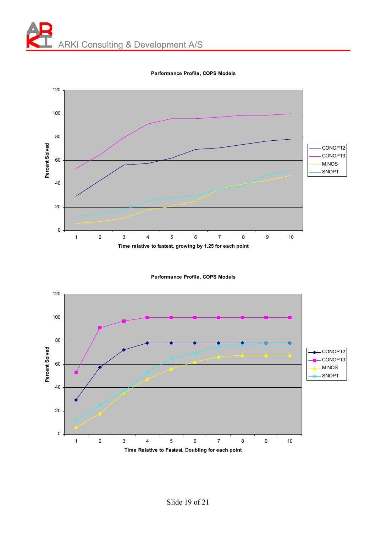

**Performance Profile, COPS Models**

**Performance Profile, COPS Models**

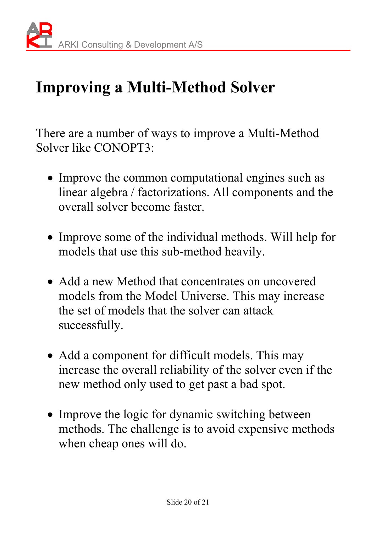## **Improving a Multi-Method Solver**

There are a number of ways to improve a Multi-Method Solver like CONOPT3:

- Improve the common computational engines such as linear algebra / factorizations. All components and the overall solver become faster.
- Improve some of the individual methods. Will help for models that use this sub-method heavily.
- Add a new Method that concentrates on uncovered models from the Model Universe. This may increase the set of models that the solver can attack successfully.
- Add a component for difficult models. This may increase the overall reliability of the solver even if the new method only used to get past a bad spot.
- Improve the logic for dynamic switching between methods. The challenge is to avoid expensive methods when cheap ones will do.